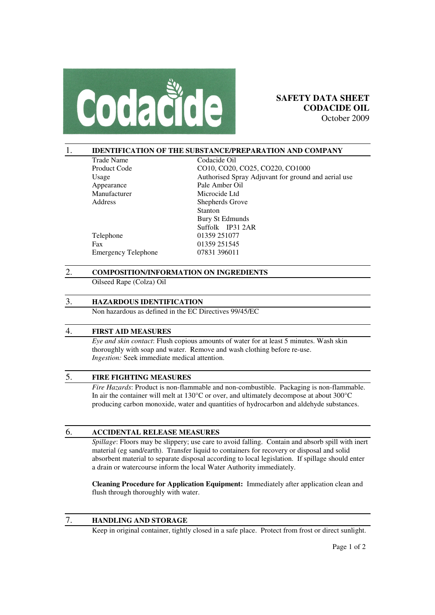

#### 1. **IDENTIFICATION OF THE SUBSTANCE/PREPARATION AND COMPANY**

| <b>Trade Name</b>          | Codacide Oil                                        |
|----------------------------|-----------------------------------------------------|
| Product Code               | CO10, CO20, CO25, CO220, CO1000                     |
| Usage                      | Authorised Spray Adjuvant for ground and aerial use |
| Appearance                 | Pale Amber Oil                                      |
| Manufacturer               | Microcide Ltd                                       |
| Address                    | Shepherds Grove                                     |
|                            | <b>Stanton</b>                                      |
|                            | Bury St Edmunds                                     |
|                            | Suffolk IP31 2AR                                    |
| Telephone                  | 01359 251077                                        |
| Fax                        | 01359 251545                                        |
| <b>Emergency Telephone</b> | 07831 396011                                        |
|                            |                                                     |

# 2. **COMPOSITION/INFORMATION ON INGREDIENTS**

Oilseed Rape (Colza) Oil

### 3. **HAZARDOUS IDENTIFICATION**

Non hazardous as defined in the EC Directives 99/45/EC

### 4. **FIRST AID MEASURES**

*Eye and skin contact*: Flush copious amounts of water for at least 5 minutes. Wash skin thoroughly with soap and water. Remove and wash clothing before re-use. *Ingestion:* Seek immediate medical attention.

## 5. **FIRE FIGHTING MEASURES**

*Fire Hazards*: Product is non-flammable and non-combustible. Packaging is non-flammable. In air the container will melt at 130°C or over, and ultimately decompose at about 300°C producing carbon monoxide, water and quantities of hydrocarbon and aldehyde substances.

#### 6. **ACCIDENTAL RELEASE MEASURES**

*Spillage*: Floors may be slippery; use care to avoid falling. Contain and absorb spill with inert material (eg sand/earth). Transfer liquid to containers for recovery or disposal and solid absorbent material to separate disposal according to local legislation. If spillage should enter a drain or watercourse inform the local Water Authority immediately.

**Cleaning Procedure for Application Equipment:** Immediately after application clean and flush through thoroughly with water.

## 7. **HANDLING AND STORAGE**

Keep in original container, tightly closed in a safe place. Protect from frost or direct sunlight.